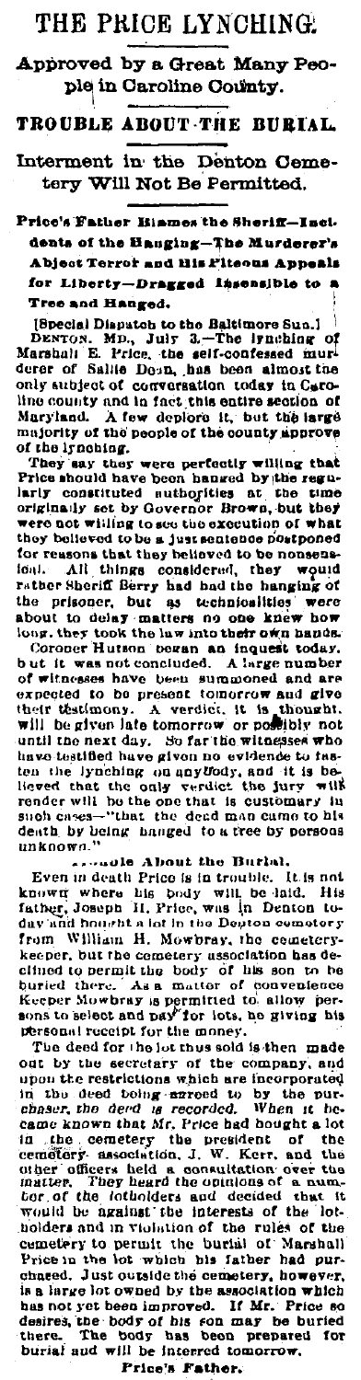## THE PRICE LYNCHING.

Approved by a Great Many People in Caroline County.

TROUBLE ABOUT THE BURTAL

Interment in the Denton Cemetery Will Not Be Permitted.

Price's Father Biames the Sheriff-Incidents of the Bauging-The Murderer's Abject Terror and His Piteous Appeals for Liberty-Dragged Insensible to a Tree and Hanged.

[Special Disputch to the Baltimore Sun.] DENTON. MD., July 3...—The lynching of<br>Marshall E. Price, the self-confessed muri-<br>derer of Sallie Donn, has been almost the only subject of conversation today in Caroline county and in fact this entire section of Maryland. A few deplore it, but the large majority of the people of the county approve of the irnching.

They say they were perfectly willing that<br>Price should have been hanged by the regularly constituted nuthorities at the time originally set by Governor Brown, but they were not willing to see the execution of what they believed to be a just sentence postponed for reasons that they believed to be nonsens All things considered, they would loal. ion. The relation of the relation of the relation of the relation of the prisoner, but as technicalities were<br>the prisoner, but as technicalities were about to delay matters no one knew how hadds.<br>Coroner Hutton bowan an i

but it was not concluded. A large number<br>of witnesses have been summoned and are<br>expected to be present tomorrow and give their testimony. A verdict, it is thought, will be given late tomorrow or possibly not until the next day. So far the witnesses who have testfied have given no evidence to theten the lynching on anytfody, and it is be-<br>lieved that the only verdict the jury will liaved that the only verdict the jury will<br>render will be the one that is customary in<br>such cases—"that the dead man cume to his death by being hanged to a tree by persons unknown.'

secondle About the Burlah.<br>Even in death Price is in trouble. It is not known where his body will be hid. His<br>father, Joseph H, Price, was in Denton to-<br>day and hought a lot in the Degree cometery from William H. Mowbray, the cemetery-<br>keeper, but the cemetery association has deactive to be multiple body of his son to be<br>buried there... As a matter of conventioners<br>keeper Mowbray is permitted to, allow per-<br>sons to select and pay for lots, no giving his personal receipt for the money.

The deed for the lot thus sold is then made out by the secretary of the company, and show the restrictions which are incorporated<br>in the deed bong-arroad to by the pur-<br>chaser, the deed is recorded. When it be-<br>came known that Mr. Price had bought a lot in the cemetery the president of the cemetery the president of the cemetery association, J. W. Kerr, and the other the matter, They heard the opinions of a numinative, They heard the opinions of a num-<br>that is, They heard the opinions of a num-<br>for of the lotholders and decided that if -it the lotwoulders and in violation of the rules of the<br>cometery to permit the burial of Marshall<br>Price in the lot which his father had pur-<br>chased. Just outside the cemetery, however, is a large lot owned by the association which has not yet been improved. If Mr. Price so<br>desires, the body of his son may be buried<br>there. The body has been prepared for The body burial and will be interred tomorrow.

Price's Father.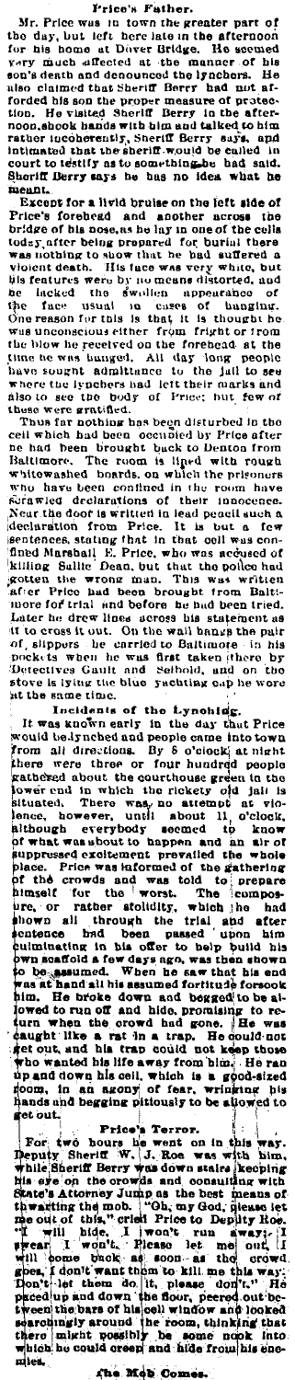## Frice's Father.

Frice's Father.<br>
Mr. Price was in town the greater part of<br>
the day, but left here late in the afternoon<br>
for his home at Diver Gridge. He seemed<br>
very much affected at the manner of his<br>
very much affected at the manner o mennt.

Except for a livid bruise on the left side of

Sheriff Lerry says he has no idea what he<br>
meant.<br>
Except for a livid bruise on the left side of<br>
Price's foreheed and another arcross to the<br>
bridge of the noise, as he large and another arcross to<br>
today, after being pr at the same time.

Incidents of the Lynching.<br>It was known early in the day that Price<br>would be lynched and people came into town would be ignched and people came into town<br>from all directions. By 8 o'clock at night<br>there were three or four hundred people<br>gathered about the courthouse green in the<br>lower cad in which the rickety old jail is<br>isluated. Bituated. There was no 11<br>lence, however, until about<br>although everybody seemed<br>of what was shout to happen shows are allowed and a section of the section of the solution of the solution of the solution of the solution of the solution of the solution of the state of the state of the state of the state of the state of the state o was at hand all his assumed fortitude forsook<br>him. He broke down and begged to be allowed to run off and hide, promising to re-<br>durn when the orowd had gone. He was<br>daught like a rat in a trap. He could not<br>get out, and hi

set out.<br>
For two bours he went on in this way.<br>
Perfect the Price's Terror.<br>
For two bours he went on in this way.<br>
The set on the crowds down state is event in this set on the crowds and consulting with<br>
the set on the c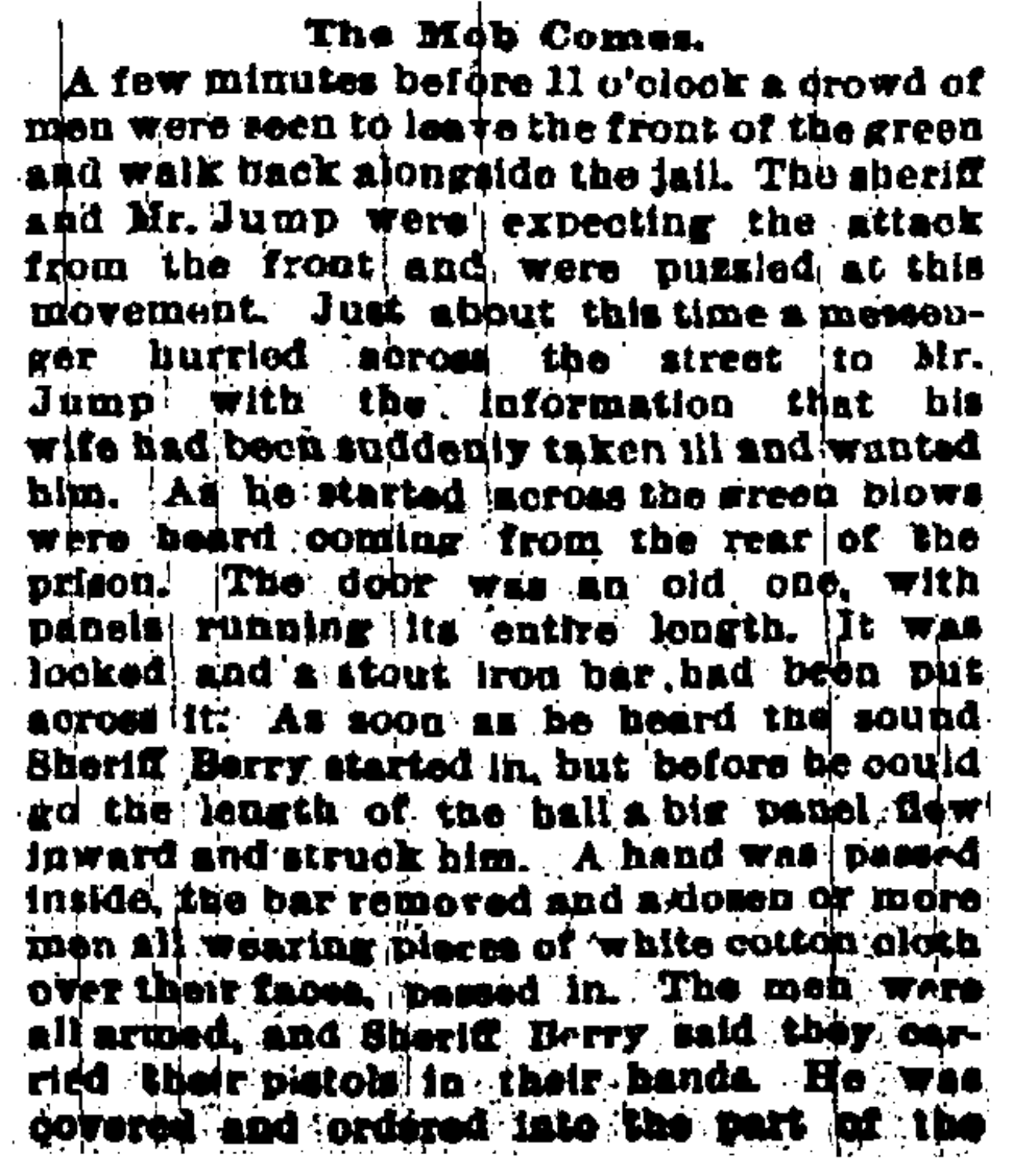## The Mob Comes.

A few minutes before 11 o'clock a drowd of men were seen to leave the front of the green and walk back alongside the jail. The sheriff and Mr. Jump were expecting the attack from the front and were puzzled at this movement. Just about this time a messonger hurried across the street to Mr. Jump with the information that his wife had been suddenly taken ill and wanted him. As he started across the green blows were beard coming from the rear of the prison. The door was an old one, with panels running its entire longth. It was looked and a stout from bar, had been put across it: As soon as he heard the sound. Sheriff Berry started in, but before he could go the length of the hall's big panel flew inward and struck him. A hand was pessed inside, the bar removed and a domen or more men all wearing places of white cotton cloth over their faces, passed in. The men were all armed, and Sheriff Berry said they carried their pietols in their hands. He was covered and ordered into the part of the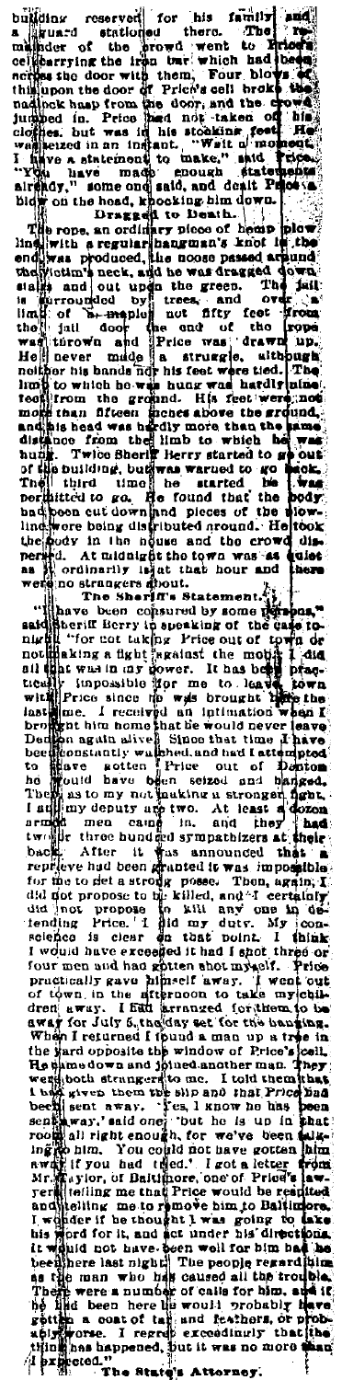building reserved for his frame in the linear statistical and the statistical and the statistical and the statistical and the statistical and the statistical and the statistical and the statistical and the statistical and

ė.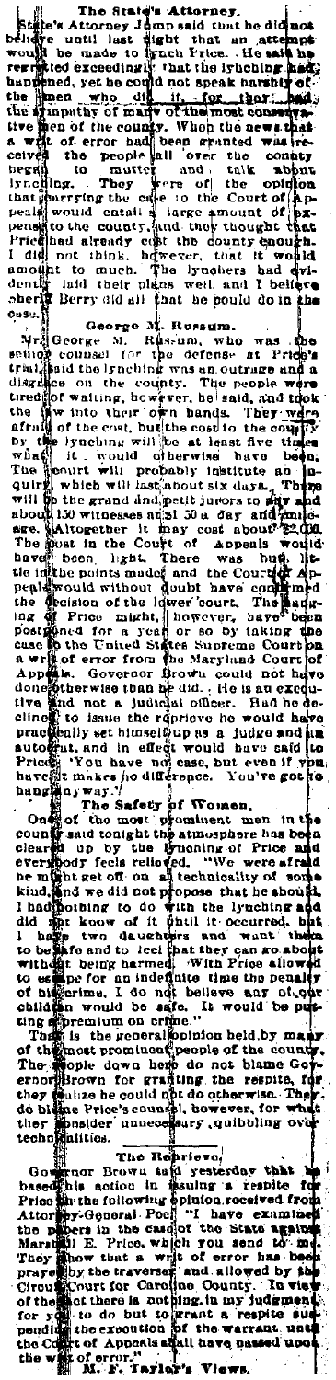and the distribution of the state's Attorney.<br>State's Attorney James and then the distribution of the said has been been the until last dight that is not see what we have a handle and the state of the state of the state of not the sympathy of mark of the most consequent in the peak of the country. When the news that the peak of error had been granted wise celebrations. They were of the opinion in the subject that in the subject that is peak of t

another is much. The irreduces and even and determined the set and determined in the best bit and the best of the set and the set and the set of the set of the set of the set of the set of the set of the set of the set of

they multion could not do otherwise. They<br>do blane Price's counter, to we were for what<br>they municipally counter and they they posider<br>techniquities.

technomialities.<br>
The Reprieve,<br>
Congress The Reprise of the based of the based is action in insulng a respite for<br>
Description the following opinion received from<br>
Attornation in the case of "the examines"<br>
the phoen in t  $\tau$ have examined la view